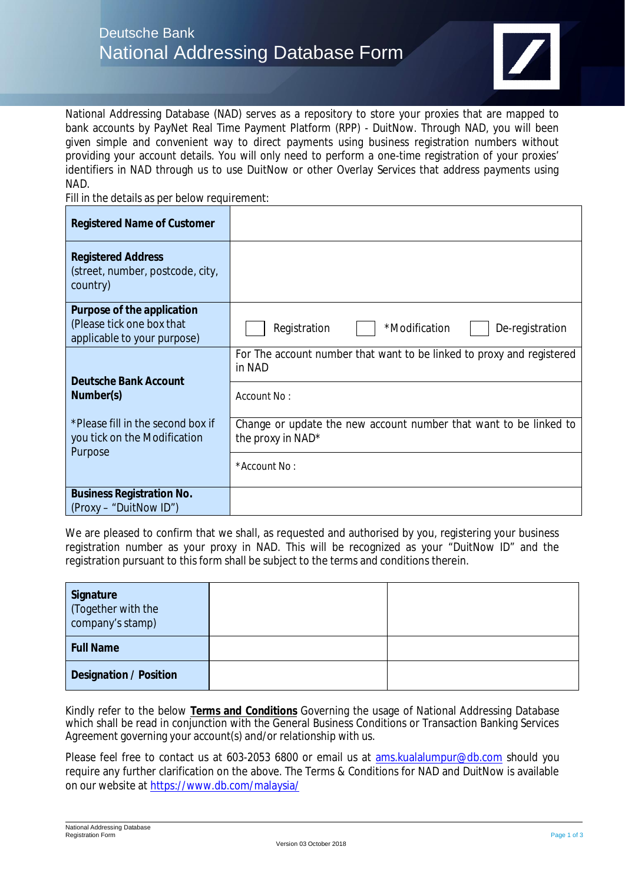

National Addressing Database (NAD) serves as a repository to store your proxies that are mapped to bank accounts by PayNet Real Time Payment Platform (RPP) - DuitNow. Through NAD, you will been given simple and convenient way to direct payments using business registration numbers without providing your account details. You will only need to perform a one-time registration of your proxies' identifiers in NAD through us to use DuitNow or other Overlay Services that address payments using NAD.

Fill in the details as per below requirement:

| *Modification<br>Registration<br>De-registration                                       |
|----------------------------------------------------------------------------------------|
| For The account number that want to be linked to proxy and registered<br>in NAD        |
| Account No:                                                                            |
| Change or update the new account number that want to be linked to<br>the proxy in NAD* |
| *Account No:                                                                           |
|                                                                                        |
|                                                                                        |

We are pleased to confirm that we shall, as requested and authorised by you, registering your business registration number as your proxy in NAD. This will be recognized as your "DuitNow ID" and the registration pursuant to this form shall be subject to the terms and conditions therein.

| Signature<br>(Together with the<br>company's stamp) |  |
|-----------------------------------------------------|--|
| <b>Full Name</b>                                    |  |
| Designation / Position                              |  |

Kindly refer to the below **Terms and Conditions** Governing the usage of National Addressing Database which shall be read in conjunction with the General Business Conditions or Transaction Banking Services Agreement governing your account(s) and/or relationship with us.

Please feel free to contact us at 603-2053 6800 or email us at ams.kualalumpur@db.com should you require any further clarification on the above. The Terms & Conditions for NAD and DuitNow is available on our website at https://www.db.com/malaysia/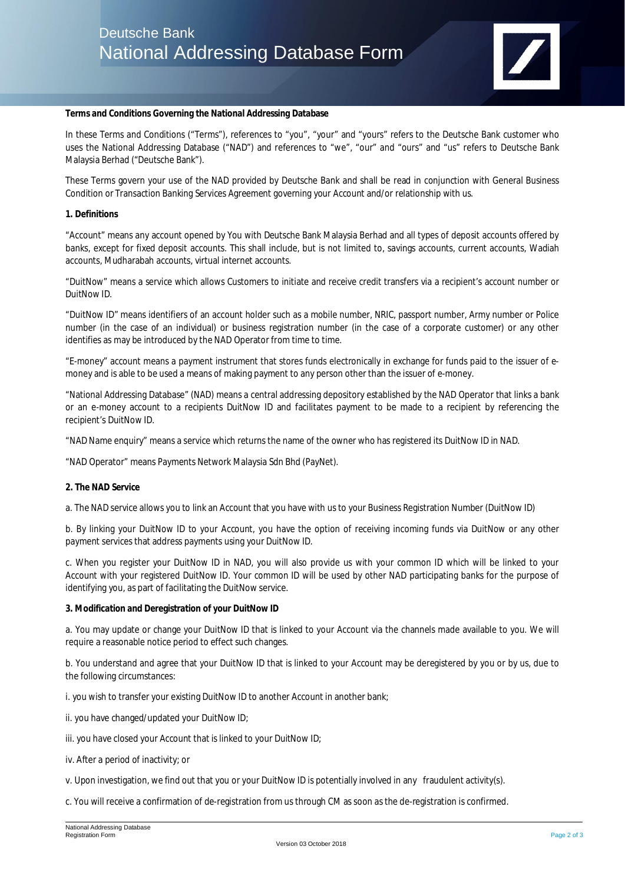

**Terms and Conditions Governing the National Addressing Database**

In these Terms and Conditions ("Terms"), references to "you", "your" and "yours" refers to the Deutsche Bank customer who uses the National Addressing Database ("NAD") and references to "we", "our" and "ours" and "us" refers to Deutsche Bank Malaysia Berhad ("Deutsche Bank").

These Terms govern your use of the NAD provided by Deutsche Bank and shall be read in conjunction with General Business Condition or Transaction Banking Services Agreement governing your Account and/or relationship with us.

#### **1. Definitions**

"Account" means any account opened by You with Deutsche Bank Malaysia Berhad and all types of deposit accounts offered by banks, except for fixed deposit accounts. This shall include, but is not limited to, savings accounts, current accounts, Wadiah accounts, Mudharabah accounts, virtual internet accounts.

"DuitNow" means a service which allows Customers to initiate and receive credit transfers via a recipient's account number or DuitNow ID.

"DuitNow ID" means identifiers of an account holder such as a mobile number, NRIC, passport number, Army number or Police number (in the case of an individual) or business registration number (in the case of a corporate customer) or any other identifies as may be introduced by the NAD Operator from time to time.

"E-money" account means a payment instrument that stores funds electronically in exchange for funds paid to the issuer of emoney and is able to be used a means of making payment to any person other than the issuer of e-money.

"National Addressing Database" (NAD) means a central addressing depository established by the NAD Operator that links a bank or an e-money account to a recipients DuitNow ID and facilitates payment to be made to a recipient by referencing the recipient's DuitNow ID.

"NAD Name enquiry" means a service which returns the name of the owner who has registered its DuitNow ID in NAD.

"NAD Operator" means Payments Network Malaysia Sdn Bhd (PayNet).

# **2. The NAD Service**

a. The NAD service allows you to link an Account that you have with us to your Business Registration Number (DuitNow ID)

b. By linking your DuitNow ID to your Account, you have the option of receiving incoming funds via DuitNow or any other payment services that address payments using your DuitNow ID.

c. When you register your DuitNow ID in NAD, you will also provide us with your common ID which will be linked to your Account with your registered DuitNow ID. Your common ID will be used by other NAD participating banks for the purpose of identifying you, as part of facilitating the DuitNow service.

**3. Modification and Deregistration of your DuitNow ID**

a. You may update or change your DuitNow ID that is linked to your Account via the channels made available to you. We will require a reasonable notice period to effect such changes.

b. You understand and agree that your DuitNow ID that is linked to your Account may be deregistered by you or by us, due to the following circumstances:

i. you wish to transfer your existing DuitNow ID to another Account in another bank;

ii. you have changed/updated your DuitNow ID;

iii. you have closed your Account that is linked to your DuitNow ID;

iv. After a period of inactivity; or

v. Upon investigation, we find out that you or your DuitNow ID is potentially involved in any fraudulent activity(s).

c. You will receive a confirmation of de-registration from us through CM as soon as the de-registration is confirmed.